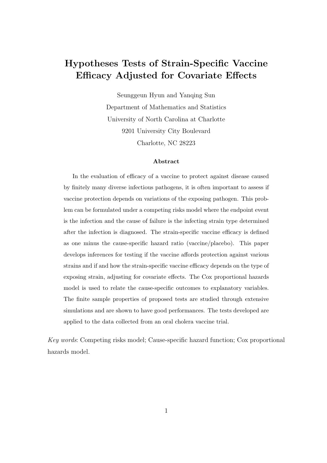# Hypotheses Tests of Strain-Specific Vaccine Efficacy Adjusted for Covariate Effects

Seunggeun Hyun and Yanqing Sun Department of Mathematics and Statistics University of North Carolina at Charlotte 9201 University City Boulevard Charlotte, NC 28223

#### Abstract

In the evaluation of efficacy of a vaccine to protect against disease caused by finitely many diverse infectious pathogens, it is often important to assess if vaccine protection depends on variations of the exposing pathogen. This problem can be formulated under a competing risks model where the endpoint event is the infection and the cause of failure is the infecting strain type determined after the infection is diagnosed. The strain-specific vaccine efficacy is defined as one minus the cause-specific hazard ratio (vaccine/placebo). This paper develops inferences for testing if the vaccine affords protection against various strains and if and how the strain-specific vaccine efficacy depends on the type of exposing strain, adjusting for covariate effects. The Cox proportional hazards model is used to relate the cause-specific outcomes to explanatory variables. The finite sample properties of proposed tests are studied through extensive simulations and are shown to have good performances. The tests developed are applied to the data collected from an oral cholera vaccine trial.

Key words: Competing risks model; Cause-specific hazard function; Cox proportional hazards model.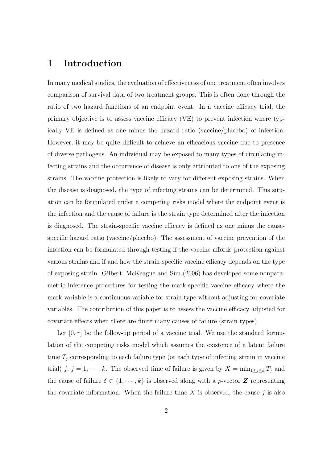### 1 Introduction

In many medical studies, the evaluation of effectiveness of one treatment often involves comparison of survival data of two treatment groups. This is often done through the ratio of two hazard functions of an endpoint event. In a vaccine efficacy trial, the primary objective is to assess vaccine efficacy (VE) to prevent infection where typically VE is defined as one minus the hazard ratio (vaccine/placebo) of infection. However, it may be quite difficult to achieve an efficacious vaccine due to presence of diverse pathogens. An individual may be exposed to many types of circulating infecting strains and the occurrence of disease is only attributed to one of the exposing strains. The vaccine protection is likely to vary for different exposing strains. When the disease is diagnosed, the type of infecting strains can be determined. This situation can be formulated under a competing risks model where the endpoint event is the infection and the cause of failure is the strain type determined after the infection is diagnosed. The strain-specific vaccine efficacy is defined as one minus the causespecific hazard ratio (vaccine/placebo). The assessment of vaccine prevention of the infection can be formulated through testing if the vaccine affords protection against various strains and if and how the strain-specific vaccine efficacy depends on the type of exposing strain. Gilbert, McKeague and Sun (2006) has developed some nonparametric inference procedures for testing the mark-specific vaccine efficacy where the mark variable is a continuous variable for strain type without adjusting for covariate variables. The contribution of this paper is to assess the vaccine efficacy adjusted for covariate effects when there are finite many causes of failure (strain types).

Let  $[0, \tau]$  be the follow-up period of a vaccine trial. We use the standard formulation of the competing risks model which assumes the existence of a latent failure time  $T_j$  corresponding to each failure type (or each type of infecting strain in vaccine trial) j,  $j = 1, \dots, k$ . The observed time of failure is given by  $X = \min_{1 \leq j \leq k} T_j$  and the cause of failure  $\delta \in \{1, \dots, k\}$  is observed along with a *p*-vector **Z** representing the covariate information. When the failure time  $X$  is observed, the cause  $j$  is also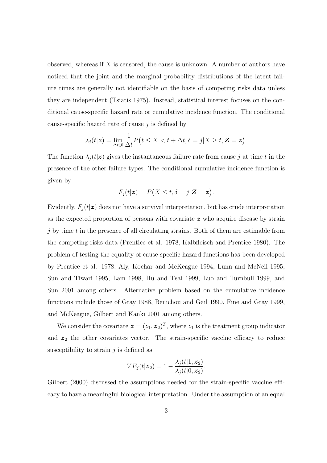observed, whereas if  $X$  is censored, the cause is unknown. A number of authors have noticed that the joint and the marginal probability distributions of the latent failure times are generally not identifiable on the basis of competing risks data unless they are independent (Tsiatis 1975). Instead, statistical interest focuses on the conditional cause-specific hazard rate or cumulative incidence function. The conditional cause-specific hazard rate of cause  $j$  is defined by

$$
\lambda_j(t|\mathbf{z}) = \lim_{\Delta t \downarrow 0} \frac{1}{\Delta t} P\big(t \leq X < t + \Delta t, \delta = j | X \geq t, \mathbf{Z} = \mathbf{z}\big).
$$

The function  $\lambda_i(t|\mathbf{z})$  gives the instantaneous failure rate from cause j at time t in the presence of the other failure types. The conditional cumulative incidence function is given by

$$
F_j(t|\mathbf{z}) = P\big(X \le t, \delta = j|\mathbf{Z} = \mathbf{z}\big).
$$

Evidently,  $F_j(t|z)$  does not have a survival interpretation, but has crude interpretation as the expected proportion of persons with covariate z who acquire disease by strain  $j$  by time  $t$  in the presence of all circulating strains. Both of them are estimable from the competing risks data (Prentice et al. 1978, Kalbfleisch and Prentice 1980). The problem of testing the equality of cause-specific hazard functions has been developed by Prentice et al. 1978, Aly, Kochar and McKeague 1994, Lunn and McNeil 1995, Sun and Tiwari 1995, Lam 1998, Hu and Tsai 1999, Luo and Turnbull 1999, and Sun 2001 among others. Alternative problem based on the cumulative incidence functions include those of Gray 1988, Benichou and Gail 1990, Fine and Gray 1999, and McKeague, Gilbert and Kanki 2001 among others.

We consider the covariate  $\boldsymbol{z} = (z_1, z_2)^T$ , where  $z_1$  is the treatment group indicator and  $z_2$  the other covariates vector. The strain-specific vaccine efficacy to reduce susceptibility to strain  $j$  is defined as

$$
VE_j(t|\mathbf{z}_2) = 1 - \frac{\lambda_j(t|1, \mathbf{z}_2)}{\lambda_j(t|0, \mathbf{z}_2)}.
$$

Gilbert (2000) discussed the assumptions needed for the strain-specific vaccine efficacy to have a meaningful biological interpretation. Under the assumption of an equal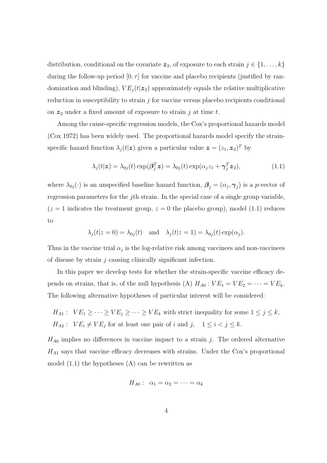distribution, conditional on the covariate  $z_2$ , of exposure to each strain  $j \in \{1, \ldots, k\}$ during the follow-up period  $[0, \tau]$  for vaccine and placebo recipients (justified by randomization and blinding),  $VE_j(t|z_2)$  approximately equals the relative multiplicative reduction in susceptibility to strain  $j$  for vaccine versus placebo recipients conditional on  $z_2$  under a fixed amount of exposure to strain j at time t.

Among the cause-specific regression models, the Cox's proportional hazards model (Cox 1972) has been widely used. The proportional hazards model specify the strainspecific hazard function  $\lambda_j(t|\mathbf{z})$  given a particular value  $\mathbf{z} = (z_1, \mathbf{z}_2)^T$  by

$$
\lambda_j(t|\mathbf{z}) = \lambda_{0j}(t) \exp(\boldsymbol{\beta}_j^T \mathbf{z}) = \lambda_{0j}(t) \exp(\alpha_j z_1 + \boldsymbol{\gamma}_j^T \mathbf{z}_2), \tag{1.1}
$$

where  $\lambda_{0j}(\cdot)$  is an unspecified baseline hazard function,  $\boldsymbol{\beta}_j = (\alpha_j, \boldsymbol{\gamma}_j)$  is a p-vector of regression parameters for the jth strain. In the special case of a single group variable,  $(z = 1$  indicates the treatment group,  $z = 0$  the placebo group), model (1.1) reduces to

$$
\lambda_j(t|z=0) = \lambda_{0j}(t)
$$
 and  $\lambda_j(t|z=1) = \lambda_{0j}(t) \exp(\alpha_j).$ 

Thus in the vaccine trial  $\alpha_j$  is the log-relative risk among vaccinees and non-vaccinees of disease by strain  $j$  causing clinically significant infection.

In this paper we develop tests for whether the strain-specific vaccine efficacy depends on strains, that is, of the null hypothesis (A)  $H_{A0}$ :  $VE_1 = VE_2 = \cdots = VE_k$ . The following alternative hypotheses of particular interest will be considered:

 $H_{A1}$ :  $VE_1 \geq \cdots \geq VE_j \geq \cdots \geq VE_k$  with strict inequality for some  $1 \leq j \leq k$ ,  $H_{A2}: V E_i \neq V E_j$  for at least one pair of i and j,  $1 \leq i < j \leq k$ .

 $H_{A0}$  implies no differences in vaccine impact to a strain j. The ordered alternative  $H_{A1}$  says that vaccine efficacy decreases with strains. Under the Cox's proportional model  $(1.1)$  the hypotheses  $(A)$  can be rewritten as

$$
H_{A0}: \ \alpha_1=\alpha_2=\cdots=\alpha_k
$$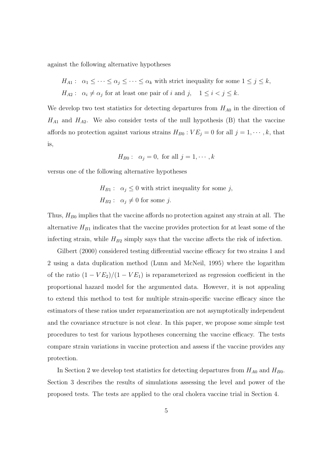against the following alternative hypotheses

 $H_{A1}: \ \alpha_1 \leq \cdots \leq \alpha_j \leq \cdots \leq \alpha_k$  with strict inequality for some  $1 \leq j \leq k$ ,  $H_{A2}: \alpha_i \neq \alpha_j$  for at least one pair of i and j,  $1 \leq i < j \leq k$ .

We develop two test statistics for detecting departures from  $H_{A0}$  in the direction of  $H_{A1}$  and  $H_{A2}$ . We also consider tests of the null hypothesis (B) that the vaccine affords no protection against various strains  $H_{B0}$ :  $VE_j = 0$  for all  $j = 1, \dots, k$ , that is,

$$
H_{B0}: \alpha_j = 0, \text{ for all } j = 1, \cdots, k
$$

versus one of the following alternative hypotheses

$$
H_{B1}: \ \alpha_j \le 0 \text{ with strict inequality for some } j,
$$
  

$$
H_{B2}: \ \alpha_j \ne 0 \text{ for some } j.
$$

Thus,  $H_{B0}$  implies that the vaccine affords no protection against any strain at all. The alternative  $H_{B1}$  indicates that the vaccine provides protection for at least some of the infecting strain, while  $H_{B2}$  simply says that the vaccine affects the risk of infection.

Gilbert (2000) considered testing differential vaccine efficacy for two strains 1 and 2 using a data duplication method (Lunn and McNeil, 1995) where the logarithm of the ratio  $(1 - VE_2)/(1 - VE_1)$  is reparameterized as regression coefficient in the proportional hazard model for the argumented data. However, it is not appealing to extend this method to test for multiple strain-specific vaccine efficacy since the estimators of these ratios under reparamerization are not asymptotically independent and the covariance structure is not clear. In this paper, we propose some simple test procedures to test for various hypotheses concerning the vaccine efficacy. The tests compare strain variations in vaccine protection and assess if the vaccine provides any protection.

In Section 2 we develop test statistics for detecting departures from  $H_{A0}$  and  $H_{B0}$ . Section 3 describes the results of simulations assessing the level and power of the proposed tests. The tests are applied to the oral cholera vaccine trial in Section 4.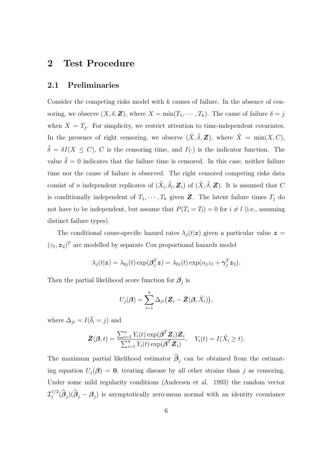### 2 Test Procedure

#### 2.1 Preliminaries

Consider the competing risks model with  $k$  causes of failure. In the absence of censoring, we observe  $(X, \delta, \mathbf{Z})$ , where  $X = \min(T_1, \cdots, T_k)$ . The cause of failure  $\delta = j$ when  $X = T_j$ . For simplicity, we restrict attention to time-independent covariates. In the presence of right censoring, we observe  $(\tilde{X}, \tilde{\delta}, Z)$ , where  $\tilde{X} = \min(X, C)$ ,  $\tilde{\delta} = \delta I(X \leq C)$ , C is the censoring time, and  $I(\cdot)$  is the indicator function. The value  $\tilde{\delta} = 0$  indicates that the failure time is censored. In this case, neither failure time nor the cause of failure is observed. The right censored competing risks data consist of *n* independent replicates of  $(\tilde{X}_i, \tilde{\delta}_i, \mathbf{Z}_i)$  of  $(\tilde{X}, \tilde{\delta}, \mathbf{Z})$ . It is assumed that C is conditionally independent of  $T_1, \cdots, T_k$  given Z. The latent failure times  $T_j$  do not have to be independent, but assume that  $P(T_i = T_i) = 0$  for  $i \neq l$  (i.e., assuming distinct failure types).

The conditional cause-specific hazard rates  $\lambda_j(t|z)$  given a particular value  $z =$  $(z_1, z_2)^T$  are modelled by separate Cox proportional hazards model

$$
\lambda_j(t|\mathbf{z}) = \lambda_{0j}(t) \exp(\boldsymbol{\beta}_j^T \mathbf{z}) = \lambda_{0j}(t) \exp(\alpha_j z_1 + \boldsymbol{\gamma}_j^T \mathbf{z}_2).
$$

Then the partial likelihood score function for  $\beta_j$  is

$$
U_j(\boldsymbol{\beta}) = \sum_{i=1}^n \Delta_{ji} (\boldsymbol{Z}_i - \bar{\boldsymbol{Z}}(\boldsymbol{\beta}, \tilde{X}_i)),
$$

where  $\Delta_{ji} = I(\tilde{\delta}_i = j)$  and

$$
\bar{\mathbf{Z}}(\boldsymbol{\beta},t) = \frac{\sum_{i=1}^{n} Y_i(t) \exp(\boldsymbol{\beta}^T \mathbf{Z}_i) \mathbf{Z}_i}{\sum_{i=1}^{n} Y_i(t) \exp(\boldsymbol{\beta}^T \mathbf{Z}_i)}, \quad Y_i(t) = I(\tilde{X}_i \geq t).
$$

The maximum partial likelihood estimator  $\widehat{\beta}_j$  can be obtained from the estimating equation  $U_i(\beta) = 0$ , treating disease by all other strains than j as censoring. Under some mild regularity conditions (Andersen et al. 1993) the random vector  ${\cal I}_i^{1/2}$  $j^{1/2}(\hat{\beta}_j)(\hat{\beta}_j - \beta_j)$  is asymptotically zero-mean normal with an identity covariance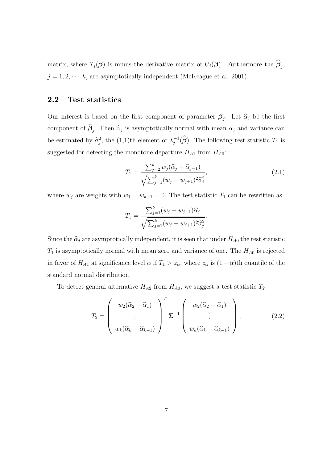matrix, where  $\mathcal{I}_j(\boldsymbol{\beta})$  is minus the derivative matrix of  $U_j(\boldsymbol{\beta})$ . Furthermore the  $\widehat{\boldsymbol{\beta}}_j$ ,  $j = 1, 2, \dots k$ , are asymptotically independent (McKeague et al. 2001).

### 2.2 Test statistics

Our interest is based on the first component of parameter  $\beta_j$ . Let  $\widehat{\alpha}_j$  be the first component of  $\widehat{\beta}_j$ . Then  $\widehat{\alpha}_j$  is asymptotically normal with mean  $\alpha_j$  and variance can be estimated by  $\hat{\sigma}_j^2$ , the (1,1)th element of  $\mathcal{I}_j^{-1}$  $j^{-1}(\widehat{\boldsymbol{\beta}})$ . The following test statistic  $T_1$  is suggested for detecting the monotone departure  $H_{A1}$  from  $H_{A0}$ :

$$
T_1 = \frac{\sum_{j=2}^k w_j (\widehat{\alpha}_j - \widehat{\alpha}_{j-1})}{\sqrt{\sum_{j=1}^k (w_j - w_{j+1})^2 \widehat{\sigma}_j^2}},
$$
\n(2.1)

where  $w_j$  are weights with  $w_1 = w_{k+1} = 0$ . The test statistic  $T_1$  can be rewritten as

$$
T_1 = \frac{\sum_{j=1}^k (w_j - w_{j+1}) \widehat{\alpha}_j}{\sqrt{\sum_{j=1}^k (w_j - w_{j+1})^2 \widehat{\sigma}_j^2}}.
$$

Since the  $\hat{\alpha}_j$  are asymptotically independent, it is seen that under  $H_{A0}$  the test statistic  $T_1$  is asymptotically normal with mean zero and variance of one. The  $H_{A0}$  is rejected in favor of  $H_{A1}$  at significance level  $\alpha$  if  $T_1 > z_\alpha$ , where  $z_\alpha$  is  $(1 - \alpha)$ th quantile of the standard normal distribution.

To detect general alternative  $H_{A2}$  from  $H_{A0}$ , we suggest a test statistic  $T_2$ 

$$
T_2 = \begin{pmatrix} w_2(\widehat{\alpha}_2 - \widehat{\alpha}_1) \\ \vdots \\ w_k(\widehat{\alpha}_k - \widehat{\alpha}_{k-1}) \end{pmatrix}^T \Sigma^{-1} \begin{pmatrix} w_2(\widehat{\alpha}_2 - \widehat{\alpha}_1) \\ \vdots \\ w_k(\widehat{\alpha}_k - \widehat{\alpha}_{k-1}) \end{pmatrix},
$$
(2.2)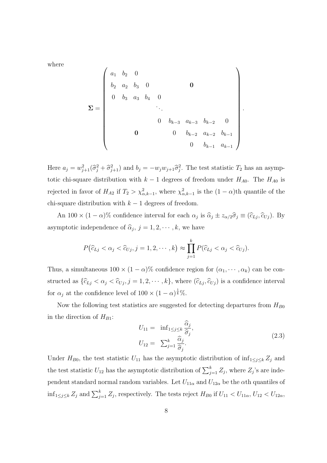where

Σ = a<sup>1</sup> b<sup>2</sup> 0 b<sup>2</sup> a<sup>2</sup> b<sup>3</sup> 0 0 0 b<sup>3</sup> a<sup>3</sup> b<sup>4</sup> 0 . . . 0 bk−<sup>3</sup> ak−<sup>3</sup> bk−<sup>2</sup> 0 0 0 bk−<sup>2</sup> ak−<sup>2</sup> bk−<sup>1</sup> 0 bk−<sup>1</sup> ak−<sup>1</sup> 

Here  $a_j = w_{j+1}^2(\hat{\sigma}_j^2 + \hat{\sigma}_{j+1}^2)$  and  $b_j = -w_jw_{j+1}\hat{\sigma}_j^2$ . The test statistic  $T_2$  has an asymptotic chi-square distribution with  $k-1$  degrees of freedom under  $H_{A0}$ . The  $H_{A0}$  is rejected in favor of  $H_{A2}$  if  $T_2 > \chi^2_{\alpha,k-1}$ , where  $\chi^2_{\alpha,k-1}$  is the  $(1-\alpha)$ th quantile of the chi-square distribution with  $k - 1$  degrees of freedom.

An 100  $\times$  (1 –  $\alpha$ )% confidence interval for each  $\alpha_j$  is  $\hat{\alpha}_j \pm z_{\alpha/2} \hat{\sigma}_j \equiv (\hat{c}_{Lj}, \hat{c}_{Uj})$ . By asymptotic independence of  $\hat{\alpha}_j$ ,  $j = 1, 2, \dots, k$ , we have

$$
P(\widehat{c}_{Lj} < \alpha_j < \widehat{c}_{Uj}, j = 1, 2, \cdots, k) \approx \prod_{j=1}^k P(\widehat{c}_{Lj} < \alpha_j < \widehat{c}_{Uj}).
$$

Thus, a simultaneous  $100 \times (1 - \alpha)$ % confidence region for  $(\alpha_1, \dots, \alpha_k)$  can be constructed as  $\{\hat{c}_{Lj} < \alpha_j < \hat{c}_{Uj}, j = 1, 2, \cdots, k\}$ , where  $(\hat{c}_{Lj}, \hat{c}_{Uj})$  is a confidence interval for  $\alpha_j$  at the confidence level of  $100 \times (1-\alpha)^{\frac{1}{k}}\%$ .

Now the following test statistics are suggested for detecting departures from  $H_{B0}$ in the direction of  $H_{B1}$ :

$$
U_{11} = \inf_{1 \le j \le k} \frac{\widehat{\alpha}_j}{\widehat{\sigma}_j},
$$
  
\n
$$
U_{12} = \sum_{j=1}^k \frac{\widehat{\alpha}_j}{\widehat{\sigma}_j}.
$$
\n(2.3)

.

Under  $H_{B0}$ , the test statistic  $U_{11}$  has the asymptotic distribution of  $\inf_{1 \leq j \leq k} Z_j$  and the test statistic  $U_{12}$  has the asymptotic distribution of  $\sum_{j=1}^{k} Z_j$ , where  $Z_j$ 's are independent standard normal random variables. Let  $U_{11\alpha}$  and  $U_{12\alpha}$  be the  $\alpha$ th quantiles of  $\inf_{1 \leq j \leq k} Z_j$  and  $\sum_{j=1}^k Z_j$ , respectively. The tests reject  $H_{B0}$  if  $U_{11} < U_{11\alpha}$ ,  $U_{12} < U_{12\alpha}$ ,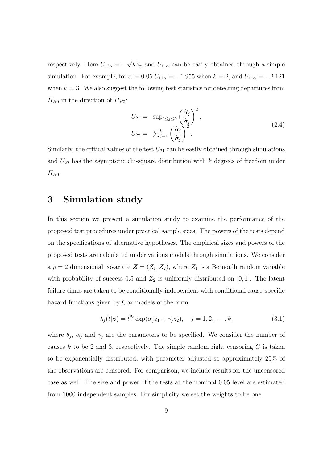respectively. Here  $U_{12\alpha} = -$ √  $kz_{\alpha}$  and  $U_{11\alpha}$  can be easily obtained through a simple simulation. For example, for  $\alpha = 0.05 U_{11\alpha} = -1.955$  when  $k = 2$ , and  $U_{11\alpha} = -2.121$ when  $k = 3$ . We also suggest the following test statistics for detecting departures from  $H_{B0}$  in the direction of  $H_{B2}$ :

$$
U_{21} = \sup_{1 \le j \le k} \left(\frac{\widehat{\alpha}_{j}}{\widehat{\sigma}_{j}}\right)^{2},
$$
  
\n
$$
U_{22} = \sum_{j=1}^{k} \left(\frac{\widehat{\alpha}_{j}}{\widehat{\sigma}_{j}}\right)^{2}.
$$
\n(2.4)

Similarly, the critical values of the test  $U_{21}$  can be easily obtained through simulations and  $U_{22}$  has the asymptotic chi-square distribution with  $k$  degrees of freedom under  $H_{B0}$ .

### 3 Simulation study

In this section we present a simulation study to examine the performance of the proposed test procedures under practical sample sizes. The powers of the tests depend on the specifications of alternative hypotheses. The empirical sizes and powers of the proposed tests are calculated under various models through simulations. We consider a  $p = 2$  dimensional covariate  $\mathbf{Z} = (Z_1, Z_2)$ , where  $Z_1$  is a Bernoulli random variable with probability of success 0.5 and  $Z_2$  is uniformly distributed on [0, 1]. The latent failure times are taken to be conditionally independent with conditional cause-specific hazard functions given by Cox models of the form

$$
\lambda_j(t|\mathbf{z}) = t^{\theta_j} \exp(\alpha_j z_1 + \gamma_j z_2), \quad j = 1, 2, \cdots, k,
$$
\n(3.1)

where  $\theta_j$ ,  $\alpha_j$  and  $\gamma_j$  are the parameters to be specified. We consider the number of causes k to be 2 and 3, respectively. The simple random right censoring  $C$  is taken to be exponentially distributed, with parameter adjusted so approximately 25% of the observations are censored. For comparison, we include results for the uncensored case as well. The size and power of the tests at the nominal 0.05 level are estimated from 1000 independent samples. For simplicity we set the weights to be one.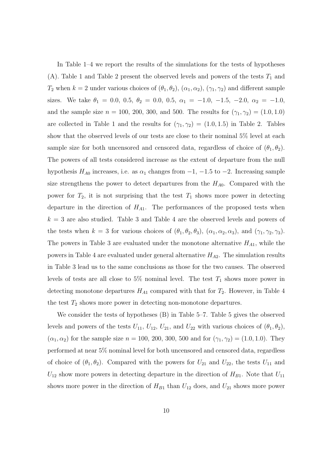In Table 1–4 we report the results of the simulations for the tests of hypotheses (A). Table 1 and Table 2 present the observed levels and powers of the tests  $T_1$  and  $T_2$  when  $k = 2$  under various choices of  $(\theta_1, \theta_2)$ ,  $(\alpha_1, \alpha_2)$ ,  $(\gamma_1, \gamma_2)$  and different sample sizes. We take  $\theta_1 = 0.0, 0.5, \theta_2 = 0.0, 0.5, \alpha_1 = -1.0, -1.5, -2.0, \alpha_2 = -1.0,$ and the sample size  $n = 100, 200, 300,$  and 500. The results for  $(\gamma_1, \gamma_2) = (1.0, 1.0)$ are collected in Table 1 and the results for  $(\gamma_1, \gamma_2) = (1.0, 1.5)$  in Table 2. Tables show that the observed levels of our tests are close to their nominal 5% level at each sample size for both uncensored and censored data, regardless of choice of  $(\theta_1, \theta_2)$ . The powers of all tests considered increase as the extent of departure from the null hypothesis  $H_{A0}$  increases, i.e. as  $\alpha_1$  changes from  $-1$ ,  $-1.5$  to  $-2$ . Increasing sample size strengthens the power to detect departures from the  $H_{A0}$ . Compared with the power for  $T_2$ , it is not surprising that the test  $T_1$  shows more power in detecting departure in the direction of  $H_{A1}$ . The performances of the proposed tests when  $k = 3$  are also studied. Table 3 and Table 4 are the observed levels and powers of the tests when  $k = 3$  for various choices of  $(\theta_1, \theta_2, \theta_3)$ ,  $(\alpha_1, \alpha_2, \alpha_3)$ , and  $(\gamma_1, \gamma_2, \gamma_3)$ . The powers in Table 3 are evaluated under the monotone alternative  $H_{A1}$ , while the powers in Table 4 are evaluated under general alternative  $H_{A2}$ . The simulation results in Table 3 lead us to the same conclusions as those for the two causes. The observed levels of tests are all close to 5% nominal level. The test  $T_1$  shows more power in detecting monotone departures  $H_{A1}$  compared with that for  $T_2$ . However, in Table 4 the test  $T_2$  shows more power in detecting non-monotone departures.

We consider the tests of hypotheses (B) in Table 5–7. Table 5 gives the observed levels and powers of the tests  $U_{11}$ ,  $U_{12}$ ,  $U_{21}$ , and  $U_{22}$  with various choices of  $(\theta_1, \theta_2)$ ,  $(\alpha_1, \alpha_2)$  for the sample size  $n = 100, 200, 300, 500$  and for  $(\gamma_1, \gamma_2) = (1.0, 1.0)$ . They performed at near 5% nominal level for both uncensored and censored data, regardless of choice of  $(\theta_1, \theta_2)$ . Compared with the powers for  $U_{21}$  and  $U_{22}$ , the tests  $U_{11}$  and  $U_{12}$  show more powers in detecting departure in the direction of  $H_{B1}$ . Note that  $U_{11}$ shows more power in the direction of  $H_{B1}$  than  $U_{12}$  does, and  $U_{21}$  shows more power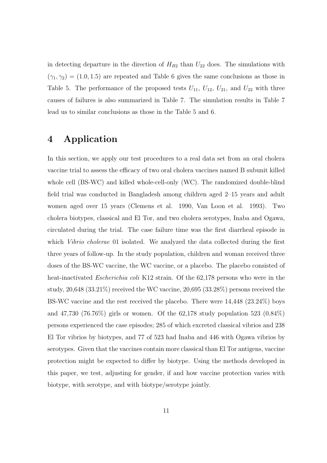in detecting departure in the direction of  $H_{B2}$  than  $U_{22}$  does. The simulations with  $(\gamma_1, \gamma_2) = (1.0, 1.5)$  are repeated and Table 6 gives the same conclusions as those in Table 5. The performance of the proposed tests  $U_{11}$ ,  $U_{12}$ ,  $U_{21}$ , and  $U_{22}$  with three causes of failures is also summarized in Table 7. The simulation results in Table 7 lead us to similar conclusions as those in the Table 5 and 6.

### 4 Application

In this section, we apply our test procedures to a real data set from an oral cholera vaccine trial to assess the efficacy of two oral cholera vaccines named B subunit killed whole cell (BS-WC) and killed whole-cell-only (WC). The randomized double-blind field trial was conducted in Bangladesh among children aged 2–15 years and adult women aged over 15 years (Clemens et al. 1990, Van Loon et al. 1993). Two cholera biotypes, classical and El Tor, and two cholera serotypes, Inaba and Ogawa, circulated during the trial. The case failure time was the first diarrheal episode in which *Vibrio cholerae* 01 isolated. We analyzed the data collected during the first three years of follow-up. In the study population, children and woman received three doses of the BS-WC vaccine, the WC vaccine, or a placebo. The placebo consisted of heat-inactivated *Escherichia coli* K12 strain. Of the 62,178 persons who were in the study, 20,648 (33.21%) received the WC vaccine, 20,695 (33.28%) persons received the BS-WC vaccine and the rest received the placebo. There were 14,448 (23.24%) boys and 47,730 (76.76%) girls or women. Of the 62,178 study population 523 (0.84%) persons experienced the case episodes; 285 of which excreted classical vibrios and 238 El Tor vibrios by biotypes, and 77 of 523 had Inaba and 446 with Ogawa vibrios by serotypes. Given that the vaccines contain more classical than El Tor antigens, vaccine protection might be expected to differ by biotype. Using the methods developed in this paper, we test, adjusting for gender, if and how vaccine protection varies with biotype, with serotype, and with biotype/serotype jointly.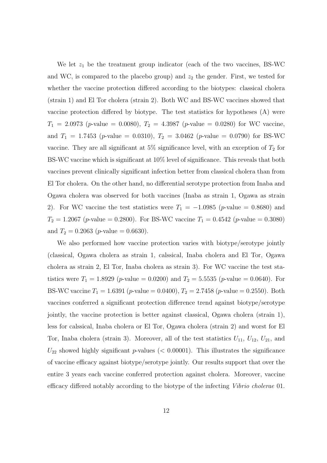We let  $z_1$  be the treatment group indicator (each of the two vaccines, BS-WC and WC, is compared to the placebo group) and  $z_2$  the gender. First, we tested for whether the vaccine protection differed according to the biotypes: classical cholera (strain 1) and El Tor cholera (strain 2). Both WC and BS-WC vaccines showed that vaccine protection differed by biotype. The test statistics for hypotheses (A) were  $T_1 = 2.0973$  (p-value = 0.0080),  $T_2 = 4.3987$  (p-value = 0.0280) for WC vaccine, and  $T_1 = 1.7453$  (p-value = 0.0310),  $T_2 = 3.0462$  (p-value = 0.0790) for BS-WC vaccine. They are all significant at 5% significance level, with an exception of  $T_2$  for BS-WC vaccine which is significant at 10% level of significance. This reveals that both vaccines prevent clinically significant infection better from classical cholera than from El Tor cholera. On the other hand, no differential serotype protection from Inaba and Ogawa cholera was observed for both vaccines (Inaba as strain 1, Ogawa as strain 2). For WC vaccine the test statistics were  $T_1 = -1.0985$  (p-value = 0.8680) and  $T_2 = 1.2067$  (p-value = 0.2800). For BS-WC vaccine  $T_1 = 0.4542$  (p-value = 0.3080) and  $T_2 = 0.2063$  (*p*-value = 0.6630).

We also performed how vaccine protection varies with biotype/serotype jointly (classical, Ogawa cholera as strain 1, calssical, Inaba cholera and El Tor, Ogawa cholera as strain 2, El Tor, Inaba cholera as strain 3). For WC vaccine the test statistics were  $T_1 = 1.8929$  (*p*-value = 0.0200) and  $T_2 = 5.5535$  (*p*-value = 0.0640). For BS-WC vaccine  $T_1 = 1.6391$  (p-value = 0.0400),  $T_2 = 2.7458$  (p-value = 0.2550). Both vaccines conferred a significant protection difference trend against biotype/serotype jointly, the vaccine protection is better against classical, Ogawa cholera (strain 1), less for calssical, Inaba cholera or El Tor, Ogawa cholera (strain 2) and worst for El Tor, Inaba cholera (strain 3). Moreover, all of the test statistics  $U_{11}$ ,  $U_{12}$ ,  $U_{21}$ , and  $U_{22}$  showed highly significant p-values (< 0.00001). This illustrates the significance of vaccine efficacy against biotype/serotype jointly. Our results support that over the entire 3 years each vaccine conferred protection against cholera. Moreover, vaccine efficacy differed notably according to the biotype of the infecting Vibrio cholerae 01.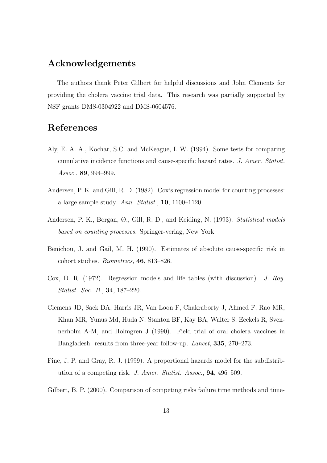### Acknowledgements

The authors thank Peter Gilbert for helpful discussions and John Clements for providing the cholera vaccine trial data. This research was partially supported by NSF grants DMS-0304922 and DMS-0604576.

## References

- Aly, E. A. A., Kochar, S.C. and McKeague, I. W. (1994). Some tests for comparing cumulative incidence functions and cause-specific hazard rates. J. Amer. Statist. Assoc., 89, 994–999.
- Andersen, P. K. and Gill, R. D. (1982). Cox's regression model for counting processes: a large sample study. Ann. Statist., 10, 1100–1120.
- Andersen, P. K., Borgan, Ø., Gill, R. D., and Keiding, N. (1993). Statistical models based on counting processes. Springer-verlag, New York.
- Benichou, J. and Gail, M. H. (1990). Estimates of absolute cause-specific risk in cohort studies. Biometrics, 46, 813–826.
- Cox, D. R. (1972). Regression models and life tables (with discussion). J. Roy. Statist. Soc. B., 34, 187–220.
- Clemens JD, Sack DA, Harris JR, Van Loon F, Chakraborty J, Ahmed F, Rao MR, Khan MR, Yunus Md, Huda N, Stanton BF, Kay BA, Walter S, Eeckels R, Svennerholm A-M, and Holmgren J (1990). Field trial of oral cholera vaccines in Bangladesh: results from three-year follow-up. Lancet, 335, 270–273.
- Fine, J. P. and Gray, R. J. (1999). A proportional hazards model for the subdistribution of a competing risk. J. Amer. Statist. Assoc., 94, 496–509.
- Gilbert, B. P. (2000). Comparison of competing risks failure time methods and time-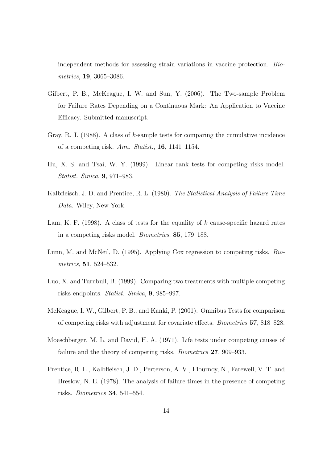independent methods for assessing strain variations in vaccine protection. Biometrics, 19, 3065–3086.

- Gilbert, P. B., McKeague, I. W. and Sun, Y. (2006). The Two-sample Problem for Failure Rates Depending on a Continuous Mark: An Application to Vaccine Efficacy. Submitted manuscript.
- Gray, R. J. (1988). A class of k-sample tests for comparing the cumulative incidence of a competing risk. Ann. Statist., 16, 1141–1154.
- Hu, X. S. and Tsai, W. Y. (1999). Linear rank tests for competing risks model. Statist. Sinica, 9, 971–983.
- Kalbfleisch, J. D. and Prentice, R. L. (1980). The Statistical Analysis of Failure Time Data. Wiley, New York.
- Lam, K. F. (1998). A class of tests for the equality of  $k$  cause-specific hazard rates in a competing risks model. Biometrics, 85, 179–188.
- Lunn, M. and McNeil, D. (1995). Applying Cox regression to competing risks. Biometrics, 51, 524–532.
- Luo, X. and Turnbull, B. (1999). Comparing two treatments with multiple competing risks endpoints. Statist. Sinica, 9, 985–997.
- McKeague, I. W., Gilbert, P. B., and Kanki, P. (2001). Omnibus Tests for comparison of competing risks with adjustment for covariate effects. Biometrics 57, 818–828.
- Moeschberger, M. L. and David, H. A. (1971). Life tests under competing causes of failure and the theory of competing risks. Biometrics 27, 909–933.
- Prentice, R. L., Kalbfleisch, J. D., Perterson, A. V., Flournoy, N., Farewell, V. T. and Breslow, N. E. (1978). The analysis of failure times in the presence of competing risks. Biometrics 34, 541–554.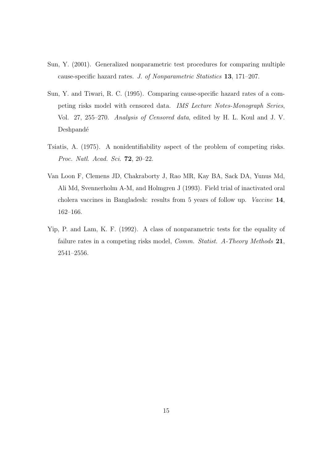- Sun, Y. (2001). Generalized nonparametric test procedures for comparing multiple cause-specific hazard rates. J. of Nonparametric Statistics 13, 171–207.
- Sun, Y. and Tiwari, R. C. (1995). Comparing cause-specific hazard rates of a competing risks model with censored data. IMS Lecture Notes-Monograph Series, Vol. 27, 255–270. Analysis of Censored data, edited by H. L. Koul and J. V. Deshpandé
- Tsiatis, A. (1975). A nonidentifiability aspect of the problem of competing risks. Proc. Natl. Acad. Sci. 72, 20–22.
- Van Loon F, Clemens JD, Chakraborty J, Rao MR, Kay BA, Sack DA, Yunus Md, Ali Md, Svennerholm A-M, and Holmgren J (1993). Field trial of inactivated oral cholera vaccines in Bangladesh: results from 5 years of follow up. Vaccine 14, 162–166.
- Yip, P. and Lam, K. F. (1992). A class of nonparametric tests for the equality of failure rates in a competing risks model, *Comm. Statist. A-Theory Methods* 21, 2541–2556.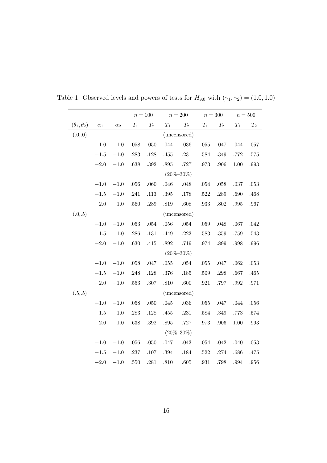|                        |            |            | $n=100$  |                 |          | $n=200\,$       | $n=300$  |          | $n=500\,$ |          |
|------------------------|------------|------------|----------|-----------------|----------|-----------------|----------|----------|-----------|----------|
| $(\theta_1, \theta_2)$ | $\alpha_1$ | $\alpha_2$ | $T_1$    | $T_2$           | $T_1$    | $T_2$           | $T_1$    | $T_2$    | $T_1$     | $T_2$    |
| (.0, 0)                |            |            |          |                 |          | (uncensored)    |          |          |           |          |
|                        | $-1.0$     | $-1.0$     | $.058\,$ | .050            | .044     | $.036\,$        | $.055\,$ | $.047$   | .044      | $.057$   |
|                        | $-1.5$     | $-1.0$     | .283     | $.128\,$        | .455     | .231            | .584     | $.349\,$ | .772      | .575     |
|                        | $-2.0$     | $-1.0$     | .638     | $.392\,$        | .895     | .727            | $.973\,$ | .906     | 1.00      | $.993\,$ |
|                        |            |            |          | $(20\% - 30\%)$ |          |                 |          |          |           |          |
|                        | $-1.0$     | $-1.0$     | $.056\,$ | .060            | .046     | .048            | .054     | .058     | .037      | .053     |
|                        | $-1.5$     | $-1.0$     | .241     | .113            | $.395\,$ | .178            | .522     | .289     | .690      | .468     |
|                        | $-2.0$     | $-1.0\,$   | .560     | .289            | .819     | .608            | $.933\,$ | $.802\,$ | $.995\,$  | .967     |
| (.0, .5)               |            |            |          |                 |          | (uncensored)    |          |          |           |          |
|                        | $-1.0$     | $-1.0$     | .053     | $.054$          | .056     | .054            | .059     | .048     | .067      | .042     |
|                        | $-1.5$     | $-1.0$     | $.286\,$ | $.131\,$        | .449     | $.223\,$        | $.583\,$ | $.359\,$ | .759      | .543     |
|                        | $-2.0$     | $-1.0$     | $.630\,$ | .415            | .892     | .719            | .974     | .899     | .998      | .996     |
|                        |            |            |          |                 |          | $(20\% - 30\%)$ |          |          |           |          |
|                        | $-1.0$     | $-1.0$     | $.058$   | .047            | $.055\,$ | $.054$          | .055     | .047     | .062      | .053     |
|                        | $-1.5$     | $-1.0$     | $.248$   | $.128\,$        | $.376\,$ | .185            | $.509\,$ | $.298\,$ | $.667\,$  | $.465\,$ |
|                        | $-2.0$     | $-1.0$     | .553     | .307            | .810     | .600            | .921     | .797     | .992      | $.971\,$ |
| (.5, .5)               |            |            |          |                 |          | (uncensored)    |          |          |           |          |
|                        | $-1.0$     | $-1.0$     | $.058\,$ | .050            | .045     | .036            | $.055\,$ | $.047$   | .044      | $.056\,$ |
|                        | $-1.5\,$   | $-1.0$     | $.283\,$ | $.128\,$        | .455     | $.231\,$        | $.584\,$ | $.349\,$ | .773      | .574     |
|                        | $-2.0$     | $-1.0$     | .638     | .392            | .895     | .727            | .973     | .906     | 1.00      | .993     |
|                        |            |            |          |                 |          | $(20\% - 30\%)$ |          |          |           |          |
|                        | $-1.0$     | $-1.0$     | $.056\,$ | .050            | .047     | .043            | $.054\,$ | $.042$   | .040      | $.053\,$ |
|                        | $-1.5$     | $-1.0$     | .237     | $.107$          | $.394\,$ | .184            | $.522\,$ | .274     | .686      | .475     |
|                        | $-2.0$     | $-1.0$     | .550     | .281            | $.810\,$ | .605            | $.931\,$ | .798     | .994      | .956     |

Table 1: Observed levels and powers of tests for  $H_{A0}$  with  $(\gamma_1, \gamma_2) = (1.0, 1.0)$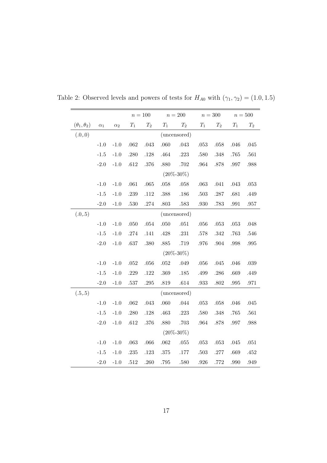|                        |                 |            |          | $n=100\,$ |          | $n=200\,$       | $n=300\,$ |          | $n=500$  |          |
|------------------------|-----------------|------------|----------|-----------|----------|-----------------|-----------|----------|----------|----------|
| $(\theta_1, \theta_2)$ | $\alpha_1$      | $\alpha_2$ | $T_1$    | $T_2$     | $T_1$    | $T_2$           | $T_1$     | $T_2$    | $T_1$    | $T_2$    |
| (.0, 0)                |                 |            |          |           |          | (uncensored)    |           |          |          |          |
|                        | $-1.0$          | $-1.0$     | .062     | .043      | .060     | $.043\,$        | .053      | $.058\,$ | .046     | .045     |
|                        | $-1.5$          | $-1.0$     | .280     | $.128\,$  | .464     | .223            | .580      | .348     | .765     | $.561\,$ |
|                        | $-2.0$          | $-1.0$     | $.612\,$ | $.376\,$  | .880     | $.702\,$        | $.964\,$  | $.878\,$ | .997     | $.988\,$ |
|                        |                 |            |          |           |          | $(20\% - 30\%)$ |           |          |          |          |
|                        | $-1.0$          | $-1.0$     | $.061\,$ | $.065\,$  | $.058\,$ | $.058\,$        | $.063\,$  | $.041$   | .043     | $.053\,$ |
|                        | $-1.5$          | $-1.0$     | .239     | .112      | $.388\,$ | .186            | .503      | .287     | .681     | .449     |
|                        | $-2.0$          | $-1.0$     | .530     | .274      | $.803\,$ | $.583\,$        | $.930\,$  | .783     | $.991\,$ | $.957\,$ |
| (.0, .5)               |                 |            |          |           |          | (uncensored)    |           |          |          |          |
|                        | $-1.0$          | $-1.0$     | .050     | $.054$    | $.050\,$ | .051            | $.056\,$  | .053     | .053     | .048     |
|                        | $-1.5$          | $-1.0$     | .274     | .141      | .428     | $.231\,$        | $.578\,$  | $.342\,$ | .763     | .546     |
|                        | $-2.0$          | $-1.0$     | .637     | .380      | $.885\,$ | $.719\,$        | $.976\,$  | .904     | .998     | .995     |
|                        |                 |            |          |           |          | $(20\% - 30\%)$ |           |          |          |          |
|                        | $-1.0$          | $-1.0$     | .052     | $.056\,$  | $.052\,$ | $.049$          | $.056\,$  | .045     | .046     | $.039\,$ |
|                        | $\textbf{-1.5}$ | $-1.0$     | .229     | $.122\,$  | $.369\,$ | .185            | .499      | .286     | .669     | .449     |
|                        | $-2.0$          | $-1.0$     | .537     | $.295\,$  | $.819\,$ | .614            | .933      | $.802\,$ | .995     | $.971\,$ |
| (.5, .5)               |                 |            |          |           |          | (uncensored)    |           |          |          |          |
|                        | $-1.0$          | $-1.0$     | .062     | .043      | .060     | .044            | .053      | $.058$   | .046     | .045     |
|                        | $-1.5$          | $-1.0$     | .280     | $.128\,$  | .463     | .223            | $.580\,$  | $.348\,$ | .765     | $.561\,$ |
|                        | $-2.0$          | $-1.0$     | .612     | $.376\,$  | .880     | .703            | $.964\,$  | .878     | .997     | $.988\,$ |
|                        |                 |            |          |           |          | $(20\% - 30\%)$ |           |          |          |          |
|                        | $-1.0$          | $-1.0$     | $.063\,$ | $.066\,$  | .062     | $.055\,$        | $.053\,$  | $.053\,$ | .045     | $.051$   |
|                        | $-1.5$          | $-1.0$     | .235     | .123      | .375     | $.177\,$        | $.503\,$  | .277     | .669     | .452     |
|                        | $-2.0$          | $-1.0$     | .512     | $.260\,$  | $.795\,$ | .580            | .926      | .772     | .990     | .949     |

Table 2: Observed levels and powers of tests for  $H_{A0}$  with  $(\gamma_1, \gamma_2) = (1.0, 1.5)$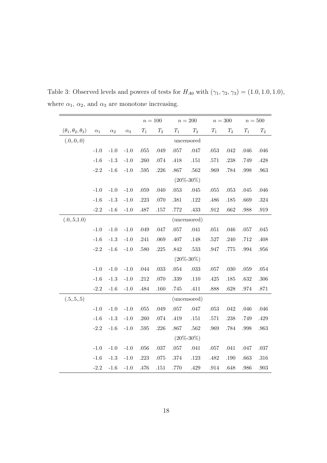|                                  |            |               |            | $n = 100$       |          |          | $n=200$         | $n=300\,$ |          |          | $n=500$  |
|----------------------------------|------------|---------------|------------|-----------------|----------|----------|-----------------|-----------|----------|----------|----------|
| $(\theta_1, \theta_2, \theta_3)$ | $\alpha_1$ | $\alpha_2$    | $\alpha_3$ | $\mathcal{T}_1$ | $T_2$    | $T_1$    | $T_2$           | $T_1$     | $T_2$    | $T_1$    | $T_2$    |
| (.0, 0, 0)                       |            |               |            |                 |          |          | uncensored      |           |          |          |          |
|                                  | $-1.0$     | $-1.0$        | $-1.0$     | $.055\,$        | .049     | $.057\,$ | .047            | .053      | .042     | .046     | $.046\,$ |
|                                  | $-1.6$     | $\mbox{-}1.3$ | $-1.0$     | .260            | .074     | .418     | $.151\,$        | .571      | $.238\,$ | .749     | $.428\,$ |
|                                  | $-2.2$     | $-1.6$        | $-1.0$     | .595            | $.226\,$ | .867     | .562            | .969      | $.784\,$ | .998     | .963     |
|                                  |            |               |            |                 |          |          | $(20\% - 30\%)$ |           |          |          |          |
|                                  | $-1.0$     | $-1.0$        | $-1.0$     | $.059\,$        | .040     | .053     | .045            | .055      | $.053\,$ | .045     | $.046$   |
|                                  | $-1.6$     | $-1.3$        | $-1.0$     | $.223\,$        | .070     | $.381\,$ | $.122\,$        | .486      | $.185\,$ | .669     | $.324\,$ |
|                                  | $-2.2$     | $-1.6$        | $-1.0$     | .487            | $.157\,$ | $.772\,$ | .433            | $.912\,$  | $.662\,$ | .988     | .919     |
| (.0,.5,1.0)                      |            |               |            |                 |          |          | (uncensored)    |           |          |          |          |
|                                  | $-1.0$     | $-1.0$        | $-1.0$     | .049            | .047     | $.057\,$ | .041            | $.051\,$  | $.046\,$ | $.057\,$ | .045     |
|                                  | $-1.6$     | $-1.3$        | $-1.0$     | .241            | .069     | $.407$   | .148            | .527      | .240     | .712     | .408     |
|                                  | $-2.2$     | $-1.6$        | $-1.0$     | .580            | $.225\,$ | $.842\,$ | $.533\,$        | .947      | .775     | .994     | $.956\,$ |
|                                  |            |               |            |                 |          |          | $(20\% - 30\%)$ |           |          |          |          |
|                                  | $-1.0$     | $-1.0$        | $-1.0$     | $.044$          | $.033\,$ | $.054\,$ | $.033\,$        | $.057\,$  | $.030\,$ | $.059$   | $.054\,$ |
|                                  | $-1.6$     | $-1.3$        | $-1.0$     | $.212\,$        | .070     | $.339\,$ | $.110$          | .425      | $.185\,$ | .632     | $.306\,$ |
|                                  | $-2.2$     | $-1.6$        | $-1.0$     | .484            | .160     | .745     | .411            | .888      | $.628\,$ | .974     | $.871\,$ |
| (.5, .5, .5)                     |            |               |            |                 |          |          | (uncensored)    |           |          |          |          |
|                                  | $-1.0$     | $-1.0$        | $-1.0$     | $.055\,$        | .049     | $.057\,$ | .047            | $.053\,$  | $.042$   | .046     | $.046$   |
|                                  | $-1.6$     | $-1.3$        | $-1.0$     | .260            | $.074\,$ | .419     | $.151\,$        | .571      | $.238\,$ | .749     | $.429\,$ |
|                                  | $-2.2$     | $-1.6$        | $-1.0$     | $.595\,$        | $.226\,$ | $.867\,$ | .562            | .969      | $.784\,$ | .998     | .963     |
|                                  |            |               |            |                 |          |          | $(20\% - 30\%)$ |           |          |          |          |
|                                  | $-1.0$     | $-1.0$        | $-1.0$     | $.056\,$        | $.037\,$ | $.057\,$ | .041            | $.057\,$  | .041     | .047     | $.037\,$ |
|                                  | $-1.6$     | $-1.3$        | $-1.0$     | $.223\,$        | $.075\,$ | $.374\,$ | $.123\,$        | .482      | $.190\,$ | .663     | $.316\,$ |
|                                  | $-2.2$     | $-1.6$        | $-1.0$     | .476            | $.151\,$ | .770     | $.429\,$        | .914      | .648     | .986     | $.903\,$ |

Table 3: Observed levels and powers of tests for  $H_{A0}$  with  $(\gamma_1, \gamma_2, \gamma_3) = (1.0, 1.0, 1.0)$ , where  $\alpha_1$ ,  $\alpha_2$ , and  $\alpha_3$  are monotone increasing.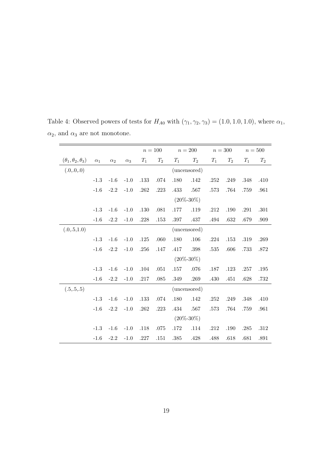|                                  |            |            |            |          | $n=100$  |          | $n=200$         |       | $n=300$  |       | $n=500$ |
|----------------------------------|------------|------------|------------|----------|----------|----------|-----------------|-------|----------|-------|---------|
| $(\theta_1, \theta_2, \theta_3)$ | $\alpha_1$ | $\alpha_2$ | $\alpha_3$ | $T_1$    | $T_2$    | $T_1$    | $T_2$           | $T_1$ | $T_2$    | $T_1$ | $T_2$   |
| (.0, 0, 0)                       |            |            |            |          |          |          | (uncensored)    |       |          |       |         |
|                                  | $-1.3$     | $-1.6$     | $-1.0$     | .133     | .074     | .180     | .142            | .252  | .249     | .348  | .410    |
|                                  | $-1.6$     | $-2.2$     | $-1.0$     | .262     | $.223\,$ | .433     | .567            | .573  | .764     | .759  | .961    |
|                                  |            |            |            |          |          |          | $(20\% - 30\%)$ |       |          |       |         |
|                                  | $-1.3$     | $-1.6$     | $-1.0$     | .130     | $.081\,$ | $.177\,$ | .119            | .212  | .190     | .291  | .301    |
|                                  | $-1.6$     | $-2.2$     | $-1.0$     | .228     | .153     | .397     | .437            | .494  | .632     | .679  | .909    |
| (.0,.5,1.0)                      |            |            |            |          |          |          | (uncensored)    |       |          |       |         |
|                                  | $-1.3$     | $-1.6$     | $-1.0$     | $.125\,$ | $.060\,$ | $.180\,$ | $.106\,$        | .224  | .153     | .319  | .269    |
|                                  | $-1.6$     | $-2.2$     | $-1.0$     | .256     | .147     | .417     | .398            | .535  | .606     | .733  | .872    |
|                                  |            |            |            |          |          |          | $(20\% - 30\%)$ |       |          |       |         |
|                                  | $-1.3$     | $-1.6$     | $-1.0$     | .104     | $.051\,$ | $.157\,$ | .076            | .187  | .123     | .257  | .195    |
|                                  | $-1.6$     | $-2.2$     | $-1.0$     | .217     | .085     | .349     | .269            | .430  | .451     | .628  | .732    |
| (.5, .5, .5)                     |            |            |            |          |          |          | (uncensored)    |       |          |       |         |
|                                  | $-1.3$     | $-1.6$     | $-1.0$     | $.133\,$ | $.074\,$ | .180     | .142            | .252  | .249     | .348  | .410    |
|                                  | $-1.6$     | $-2.2$     | $-1.0$     | .262     | .223     | $.434\,$ | .567            | .573  | .764     | .759  | .961    |
|                                  |            |            |            |          |          |          | $(20\% - 30\%)$ |       |          |       |         |
|                                  | $-1.3$     | $-1.6$     | $-1.0$     | .118     | .075     | .172     | .114            | .212  | $.190\,$ | .285  | .312    |
|                                  | $-1.6$     | $-2.2$     | $-1.0$     | .227     | .151     | .385     | .428            | .488  | .618     | .681  | .891    |

Table 4: Observed powers of tests for  $H_{A0}$  with  $(\gamma_1, \gamma_2, \gamma_3) = (1.0, 1.0, 1.0)$ , where  $\alpha_1$ ,  $\alpha_2,$  and  $\alpha_3$  are not monotone.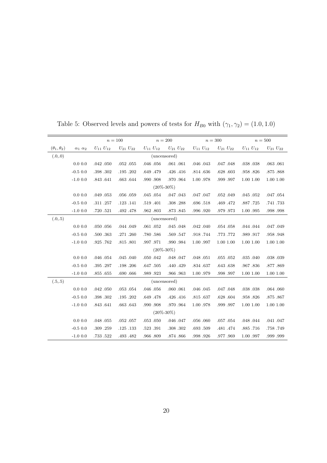|                        |                     | $n=100$         |                   | $n=200$         |                 | $n=300$         |                   |                 | $n=500$         |
|------------------------|---------------------|-----------------|-------------------|-----------------|-----------------|-----------------|-------------------|-----------------|-----------------|
| $(\theta_1, \theta_2)$ | $\alpha_1 \alpha_2$ | $U_{11} U_{12}$ | $U_{21}$ $U_{22}$ | $U_{11} U_{12}$ | $U_{21} U_{22}$ | $U_{11} U_{12}$ | $U_{21}$ $U_{22}$ | $U_{11} U_{12}$ | $U_{21} U_{22}$ |
| (.0, 0)                |                     |                 |                   | (uncensored)    |                 |                 |                   |                 |                 |
|                        | 0.0 0.0             | .042 .050       | .052055           | .046 .056       | .061 .061       | .046 .043       | .047 .048         | .038 .038       | .063 .061       |
|                        | $-0.5$ 0.0          | .398 .302       | .195.202          | .649.479        | .426 .416       | .814 .636       | .628.603          | .958.826        | .875.868        |
|                        | $-1.0$ 0.0          | .843 .641       | .663.644          | .990.908        | .970.964        | 1.00 .978       | .999.997          | 1.00 1.00       | 1.00 1.00       |
|                        |                     |                 |                   | $(20\% - 30\%)$ |                 |                 |                   |                 |                 |
|                        | 0.0 0.0             | .049 .053       | .056.059          | .045 .054       | .047.043        | .047 .047       | .052 .049         | .045 .052       | .047 .054       |
|                        | $-0.5$ 0.0          | .311 .257       | .123.141          | .519 .401       | .308.288        | .696 .518       | .469 .472         | .887.725        | .741.733        |
|                        | $-1.0$ 0.0          | .720 .521       | .492 .478         | .962.803        | .873.845        | .996 .920       | .979.973          | 1.00.995        | .998.998        |
| (.0, .5)               |                     |                 |                   | (uncensored)    |                 |                 |                   |                 |                 |
|                        | 0.0 0.0             | .050.056        | .044 .049         | .061.052        | .045 .048       | .042 .040       | .054 .058         | .044 .044       | .047.049        |
|                        | $-0.5$ 0.0          | .500 .363       | .271.260          | .780.586        | .569.547        | .918.744        | .773 .772         | .989.917        | .958.948        |
|                        | $-1.0$ 0.0          | .925.762        | .815.801          | .997.971        | .990.984        | 1.00.997        | 1.00 1.00         | 1.00 1.00       | 1.00 1.00       |
|                        |                     |                 |                   | $(20\% - 30\%)$ |                 |                 |                   |                 |                 |
|                        | 0.0 0.0             | .046 .054       | .045 .040         | .050 .042       | $.048$ $.047$   | .048.051        | $.055-.052$       | .035 .040       | .038 .039       |
|                        | $-0.5$ 0.0          | .395 .297       | .198.206          | .647.505        | .440.429        | .834 .637       | .643 .638         | .967.836        | .877.869        |
|                        | $-1.0$ 0.0          | .855 .655       | .690 .666         | .989.923        | .966.963        | 1.00.979        | .998.997          | 1.00 1.00       | 1.00 1.00       |
| (.5, .5)               |                     |                 |                   | (uncensored)    |                 |                 |                   |                 |                 |
|                        | 0.0 0.0             | .042 .050       | .053 .054         | .046 .056       | .060.061        | .046 .045       | .047.048          | .038 .038       | .064 .060       |
|                        | $-0.5$ 0.0          | .398 .302       | .195.202          | .649 .478       | .426 .416       | .815 .637       | .628 .604         | .958.826        | .875.867        |
|                        | $-1.0$ 0.0          | .843 .641       | .663.643          | .990.908        | .970.964        | 1.00 .978       | .999.997          | 1.00 1.00       | 1.00 1.00       |
|                        |                     |                 |                   | $(20\% - 30\%)$ |                 |                 |                   |                 |                 |
|                        | 0.0 0.0             | .048 .055       | $.052$ $.057$     | .053 .050       | .046 .047       | .056 .060       | .057 .054         | .048 .044       | .041 .047       |
|                        | $-0.5$ 0.0          | .309 .259       | .125.133          | .523 .391       | .308 .302       | .693 .509       | .481.474          | .885.716        | .758.749        |
|                        | $-1.0$ 0.0          | .733 .522       | .493 .482         | .966.809        | .874 .866       | .998.926        | .977 .969         | 1.00.997        | .999.999        |

Table 5: Observed levels and powers of tests for  $H_{B0}$  with  $(\gamma_1, \gamma_2) = (1.0, 1.0)$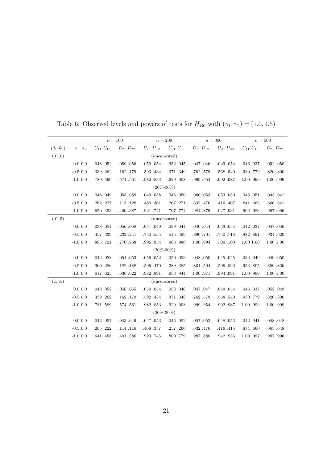|                        |                     | $n=100$         |                   | $n=200$         |                 |                 | $n=300$           |                 | $n=500$         |
|------------------------|---------------------|-----------------|-------------------|-----------------|-----------------|-----------------|-------------------|-----------------|-----------------|
| $(\theta_1, \theta_2)$ | $\alpha_1 \alpha_2$ | $U_{11} U_{12}$ | $U_{21}$ $U_{22}$ | $U_{11} U_{12}$ | $U_{21} U_{22}$ | $U_{11} U_{12}$ | $U_{21}$ $U_{22}$ | $U_{11} U_{12}$ | $U_{21} U_{22}$ |
| (.0, 0)                |                     |                 |                   | (uncensored)    |                 |                 |                   |                 |                 |
|                        | 0.0 0.0             | .048 .052       | .059.056          | .050 .054       | $.052$ $.045$   | .047 .046       | .049 .054         | .046 .037       | $.052$ $.050$   |
|                        | $-0.5$ 0.0          | .339.262        | .162.179          | .593 .434       | .371.349        | .762.579        | .568 .540         | .930.779        | .820 .800       |
|                        | $-1.0$ 0.0          | .780.590        | .574.561          | .982.853        | .929.908        | .999.954        | .992.987          | 1.00.999        | 1.00.999        |
|                        |                     |                 |                   | $(20\% - 30\%)$ |                 |                 |                   |                 |                 |
|                        | 0.0 0.0             | .048 .049       | $.053$ $.059$     | .049.058        | .045 .050       | .060.053        | .053 .050         | .045 .051       | .043 .041       |
|                        | $-0.5$ 0.0          | .262.227        | .113.128          | .480.361        | .267.271        | .632 .476       | .416 .407         | .841.665        | .666 .641       |
|                        | $-1.0$ 0.0          | .650 .453       | .400 .387         | .921.741        | .797.774        | .984 .879       | .947.931          | .999.983        | .997.996        |
| (.0, .5)               |                     |                 |                   |                 | (uncensored)    |                 |                   |                 |                 |
|                        | 0.0 0.0             | .038 .054       | .056 .058         | .057.049        | .039 .044       | .040 .044       | $.053$ $.055$     | .042 .037       | .047 .050       |
|                        | $-0.5$ 0.0          | .457.339        | .232 .241         | .740.555        | .515.499        | .890.701        | .740.718          | .982.891        | .934 .920       |
|                        | $-1.0$ 0.0          | .895.721        | .770.758          | .996 .954       | .983.980        | 1.00.994        | 1.00 1.00         | 1.00 1.00       | 1.00 1.00       |
|                        |                     |                 |                   | $(20\% - 30\%)$ |                 |                 |                   |                 |                 |
|                        | 0.0 0.0             | .042 .058       | .054 .053         | .056 .052       | .050 .053       | .048.050        | $.045$ $.045$     | .033 .049       | .049 .050       |
|                        | $-0.5$ 0.0          | .360 .286       | .182.188          | .596 .470       | .389 .385       | .801.594        | .596 .592         | .953 .805       | .859.836        |
|                        | $-1.0$ 0.0          | .817.625        | .636 .622         | .982.891        | .953.944        | 1.00 .971       | .994.991          | 1.00.999        | 1.00 1.00       |
| (.5, .5)               |                     |                 |                   |                 | (uncensored)    |                 |                   |                 |                 |
|                        | 0.0 0.0             | .048 .052       | .058.055          | .050 .054       | .053 .046       | .047 .047       | .049 .054         | .046 .037       | .052 .049       |
|                        | $-0.5$ 0.0          | .339.262        | .162.179          | .592 .434       | .371.348        | .762.579        | .568 .540         | .930.779        | .820 .800       |
|                        | $-1.0$ 0.0          | .781.589        | .574.561          | .982.853        | .929.908        | .999.954        | .992.987          | 1.00.999        | 1.00.999        |
|                        |                     |                 |                   | $(20\% - 30\%)$ |                 |                 |                   |                 |                 |
|                        | 0.0 0.0             | $.042$ $.057$   | .043 .049         | .047.053        | .046 .052       | $.057-.052$     | .048 .053         | .042 .041       | .048 .048       |
|                        | $-0.5$ 0.0          | .265 .222       | .114 .116         | .468.357        | .257.260        | .632 .476       | .416 .415         | .834 .660       | .663 .648       |
|                        | $-1.0$ 0.0          | .641 .458       | .401.386          | .923.745        | .800.779        | .987.880        | .942 .935         | 1.00.987        | .997.996        |

Table 6: Observed levels and powers of tests for  $H_{B0}$  with  $(\gamma_1, \gamma_2) = (1.0, 1.5)$